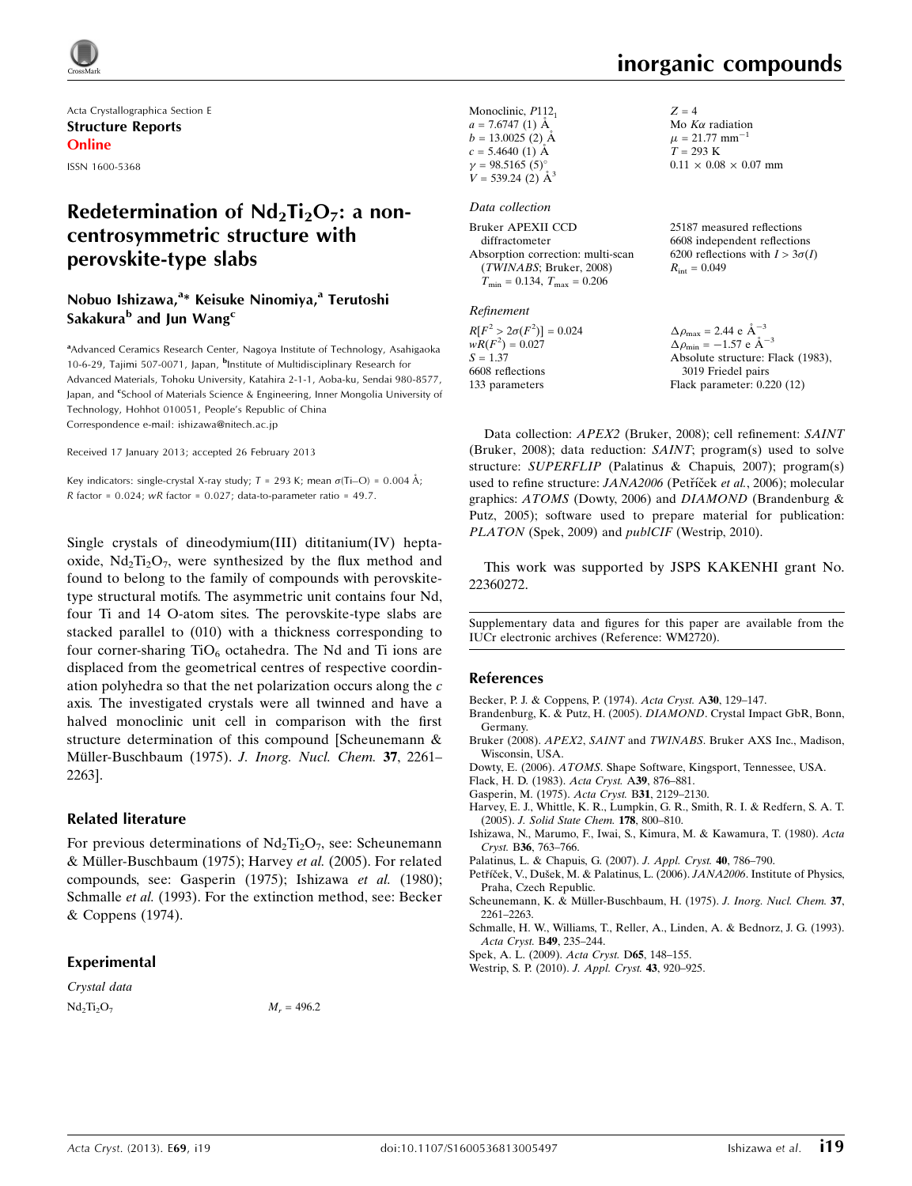

Acta Crystallographica Section E Structure Reports Online ISSN 1600-5368

## Redetermination of  $Nd_2Ti_2O_7$ : a noncentrosymmetric structure with perovskite-type slabs

#### Nobuo Ishizawa,<sup>a\*</sup> Keisuke Ninomiya,<sup>a</sup> Terutoshi Sakakura<sup>b</sup> and Jun Wang<sup>c</sup>

<sup>a</sup>Advanced Ceramics Research Center, Nagoya Institute of Technology, Asahigaoka 10-6-29, Tajimi 507-0071, Japan, <sup>b</sup>Institute of Multidisciplinary Research for Advanced Materials, Tohoku University, Katahira 2-1-1, Aoba-ku, Sendai 980-8577, Japan, and <sup>c</sup>School of Materials Science & Engineering, Inner Mongolia University of Technology, Hohhot 010051, People's Republic of China Correspondence e-mail: [ishizawa@nitech.ac.jp](https://scripts.iucr.org/cgi-bin/cr.cgi?rm=pdfbb&cnor=wm2720&bbid=BB14)

Received 17 January 2013; accepted 26 February 2013

Key indicators: single-crystal X-ray study;  $T = 293$  K; mean  $\sigma(Ti-O) = 0.004$  Å; R factor =  $0.024$ ; wR factor =  $0.027$ ; data-to-parameter ratio =  $49.7$ .

Single crystals of dineodymium(III) dititanium(IV) heptaoxide,  $Nd_2Ti_2O_7$ , were synthesized by the flux method and found to belong to the family of compounds with perovskitetype structural motifs. The asymmetric unit contains four Nd, four Ti and 14 O-atom sites. The perovskite-type slabs are stacked parallel to (010) with a thickness corresponding to four corner-sharing  $TiO_6$  octahedra. The Nd and Ti ions are displaced from the geometrical centres of respective coordination polyhedra so that the net polarization occurs along the c axis. The investigated crystals were all twinned and have a halved monoclinic unit cell in comparison with the first structure determination of this compound [Scheunemann & Müller-Buschbaum (1975). J. Inorg. Nucl. Chem. 37, 2261-2263].

#### Related literature

For previous determinations of  $Nd_2Ti_2O_7$ , see: Scheunemann & Müller-Buschbaum (1975); Harvey et al. (2005). For related compounds, see: Gasperin (1975); Ishizawa et al. (1980); Schmalle et al. (1993). For the extinction method, see: Becker & Coppens (1974).

#### Experimental

Crystal data  $Nd_2Ti_2O_7$   $M_r = 496.2$ 

Monoclinic, P112<sub>1</sub>  $a = 7.6747(1)$  Å  $b = 13.0025$  (2) Å  $c = 5.4640 (1)$  Å  $\gamma = 98.5165(5)$  $V = 539.24$  (2)  $\mathring{A}^3$ 

#### Data collection

| Bruker APEXII CCD                          | 25187 measured reflections             |
|--------------------------------------------|----------------------------------------|
| diffractometer                             | 6608 independent reflections           |
| Absorption correction: multi-scan          | 6200 reflections with $I > 3\sigma(I)$ |
| (TWINABS; Bruker, 2008)                    | $R_{\rm int} = 0.049$                  |
| $T_{\rm min} = 0.134, T_{\rm max} = 0.206$ |                                        |
|                                            |                                        |

#### Refinement

| $\Delta \rho_{\text{max}} = 2.44 \text{ e A}^{-3}$   |
|------------------------------------------------------|
| $\Delta \rho_{\text{min}} = -1.57$ e $\rm{\AA}^{-3}$ |
| Absolute structure: Flack (1983),                    |
| 3019 Friedel pairs                                   |
| Flack parameter: $0.220(12)$                         |
|                                                      |

Data collection: APEX2 (Bruker, 2008); cell refinement: SAINT (Bruker, 2008); data reduction: SAINT; program(s) used to solve structure: SUPERFLIP (Palatinus & Chapuis, 2007); program(s) used to refine structure: JANA2006 (Petříček et al., 2006); molecular graphics: ATOMS (Dowty, 2006) and DIAMOND (Brandenburg & Putz, 2005); software used to prepare material for publication: PLATON (Spek, 2009) and *publCIF* (Westrip, 2010).

This work was supported by JSPS KAKENHI grant No. 22360272.

Supplementary data and figures for this paper are available from the IUCr electronic archives (Reference: WM2720).

#### References

[Becker, P. J. & Coppens, P. \(1974\).](https://scripts.iucr.org/cgi-bin/cr.cgi?rm=pdfbb&cnor=wm2720&bbid=BB1) Acta Cryst. A30, 129–147.

- [Brandenburg, K. & Putz, H. \(2005\).](https://scripts.iucr.org/cgi-bin/cr.cgi?rm=pdfbb&cnor=wm2720&bbid=BB2) DIAMOND. Crystal Impact GbR, Bonn, [Germany.](https://scripts.iucr.org/cgi-bin/cr.cgi?rm=pdfbb&cnor=wm2720&bbid=BB2)
- Bruker (2008). APEX2, SAINT and TWINABS[. Bruker AXS Inc., Madison,](https://scripts.iucr.org/cgi-bin/cr.cgi?rm=pdfbb&cnor=wm2720&bbid=BB3) [Wisconsin, USA.](https://scripts.iucr.org/cgi-bin/cr.cgi?rm=pdfbb&cnor=wm2720&bbid=BB3)
- Dowty, E. (2006). ATOMS[. Shape Software, Kingsport, Tennessee, USA.](https://scripts.iucr.org/cgi-bin/cr.cgi?rm=pdfbb&cnor=wm2720&bbid=BB4)
- [Flack, H. D. \(1983\).](https://scripts.iucr.org/cgi-bin/cr.cgi?rm=pdfbb&cnor=wm2720&bbid=BB5) Acta Cryst. A39, 876–881.
- [Gasperin, M. \(1975\).](https://scripts.iucr.org/cgi-bin/cr.cgi?rm=pdfbb&cnor=wm2720&bbid=BB6) Acta Cryst. B31, 2129–2130.
- [Harvey, E. J., Whittle, K. R., Lumpkin, G. R., Smith, R. I. & Redfern, S. A. T.](https://scripts.iucr.org/cgi-bin/cr.cgi?rm=pdfbb&cnor=wm2720&bbid=BB7) (2005). [J. Solid State Chem.](https://scripts.iucr.org/cgi-bin/cr.cgi?rm=pdfbb&cnor=wm2720&bbid=BB7) 178, 800–810.
- [Ishizawa, N., Marumo, F., Iwai, S., Kimura, M. & Kawamura, T. \(1980\).](https://scripts.iucr.org/cgi-bin/cr.cgi?rm=pdfbb&cnor=wm2720&bbid=BB8) Acta Cryst. B36[, 763–766.](https://scripts.iucr.org/cgi-bin/cr.cgi?rm=pdfbb&cnor=wm2720&bbid=BB8)
- [Palatinus, L. & Chapuis, G. \(2007\).](https://scripts.iucr.org/cgi-bin/cr.cgi?rm=pdfbb&cnor=wm2720&bbid=BB9) J. Appl. Cryst. 40, 786–790.
- Petříček, V., Dušek, M. & Palatinus, L. (2006). JANA2006. Institute of Physics, [Praha, Czech Republic.](https://scripts.iucr.org/cgi-bin/cr.cgi?rm=pdfbb&cnor=wm2720&bbid=BB10)
- Scheunemann, K. & Müller-Buschbaum, H. (1975). J. Inorg. Nucl. Chem. 37, [2261–2263.](https://scripts.iucr.org/cgi-bin/cr.cgi?rm=pdfbb&cnor=wm2720&bbid=BB11)
- [Schmalle, H. W., Williams, T., Reller, A., Linden, A. & Bednorz, J. G. \(1993\).](https://scripts.iucr.org/cgi-bin/cr.cgi?rm=pdfbb&cnor=wm2720&bbid=BB12) [Acta Cryst.](https://scripts.iucr.org/cgi-bin/cr.cgi?rm=pdfbb&cnor=wm2720&bbid=BB12) B49, 235–244.
- [Spek, A. L. \(2009\).](https://scripts.iucr.org/cgi-bin/cr.cgi?rm=pdfbb&cnor=wm2720&bbid=BB13) Acta Cryst. D65, 148–155.
- [Westrip, S. P. \(2010\).](https://scripts.iucr.org/cgi-bin/cr.cgi?rm=pdfbb&cnor=wm2720&bbid=BB14) J. Appl. Cryst. 43, 920–925.

 $Z = 4$ 

Mo  $K\alpha$  radiation  $\mu = 21.77$  mm<sup>-1</sup>  $T = 293 \text{ K}$ 

 $0.11 \times 0.08 \times 0.07$  mm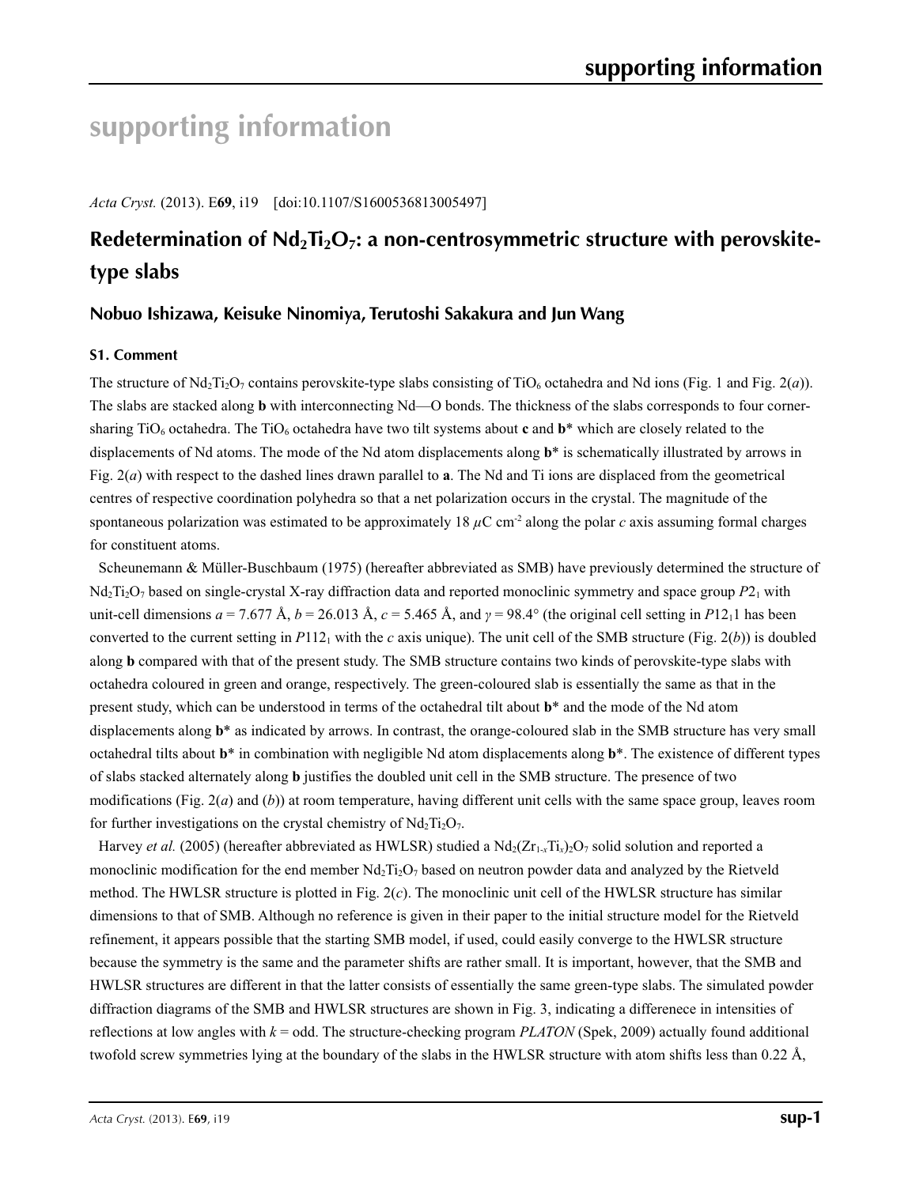# **supporting information**

*Acta Cryst.* (2013). E**69**, i19 [doi:10.1107/S1600536813005497]

## Redetermination of Nd<sub>2</sub>Ti<sub>2</sub>O<sub>7</sub>: a non-centrosymmetric structure with perovskite**type slabs**

### **Nobuo Ishizawa, Keisuke Ninomiya, Terutoshi Sakakura and Jun Wang**

#### **S1. Comment**

The structure of Nd<sub>2</sub>T<sub>i2</sub>O<sub>7</sub> contains perovskite-type slabs consisting of TiO<sub>6</sub> octahedra and Nd ions (Fig. 1 and Fig. 2(*a*)). The slabs are stacked along **b** with interconnecting Nd—O bonds. The thickness of the slabs corresponds to four cornersharing  $TiO_6$  octahedra. The  $TiO_6$  octahedra have two tilt systems about **c** and  $b^*$  which are closely related to the displacements of Nd atoms. The mode of the Nd atom displacements along **b**\* is schematically illustrated by arrows in Fig. 2(*a*) with respect to the dashed lines drawn parallel to **a**. The Nd and Ti ions are displaced from the geometrical centres of respective coordination polyhedra so that a net polarization occurs in the crystal. The magnitude of the spontaneous polarization was estimated to be approximately 18  $\mu$ C cm<sup>-2</sup> along the polar *c* axis assuming formal charges for constituent atoms.

Scheunemann & Müller-Buschbaum (1975) (hereafter abbreviated as SMB) have previously determined the structure of Nd<sub>2</sub>T<sub>12</sub>O<sub>7</sub> based on single-crystal X-ray diffraction data and reported monoclinic symmetry and space group P<sub>21</sub> with unit-cell dimensions  $a = 7.677 \text{ Å}$ ,  $b = 26.013 \text{ Å}$ ,  $c = 5.465 \text{ Å}$ , and  $\gamma = 98.4^{\circ}$  (the original cell setting in *P*12<sub>1</sub>1 has been converted to the current setting in  $P112<sub>1</sub>$  with the *c* axis unique). The unit cell of the SMB structure (Fig. 2(*b*)) is doubled along **b** compared with that of the present study. The SMB structure contains two kinds of perovskite-type slabs with octahedra coloured in green and orange, respectively. The green-coloured slab is essentially the same as that in the present study, which can be understood in terms of the octahedral tilt about **b**\* and the mode of the Nd atom displacements along **b**\* as indicated by arrows. In contrast, the orange-coloured slab in the SMB structure has very small octahedral tilts about **b**\* in combination with negligible Nd atom displacements along **b**\*. The existence of different types of slabs stacked alternately along **b** justifies the doubled unit cell in the SMB structure. The presence of two modifications (Fig. 2(*a*) and (*b*)) at room temperature, having different unit cells with the same space group, leaves room for further investigations on the crystal chemistry of  $Nd_2Ti_2O_7$ .

Harvey *et al.* (2005) (hereafter abbreviated as HWLSR) studied a  $Nd_2(Zr_{1-x}T_{1x})_2O_7$  solid solution and reported a monoclinic modification for the end member  $Nd_2Ti_2O_7$  based on neutron powder data and analyzed by the Rietveld method. The HWLSR structure is plotted in Fig. 2(*c*). The monoclinic unit cell of the HWLSR structure has similar dimensions to that of SMB. Although no reference is given in their paper to the initial structure model for the Rietveld refinement, it appears possible that the starting SMB model, if used, could easily converge to the HWLSR structure because the symmetry is the same and the parameter shifts are rather small. It is important, however, that the SMB and HWLSR structures are different in that the latter consists of essentially the same green-type slabs. The simulated powder diffraction diagrams of the SMB and HWLSR structures are shown in Fig. 3, indicating a differenece in intensities of reflections at low angles with  $k =$  odd. The structure-checking program *PLATON* (Spek, 2009) actually found additional twofold screw symmetries lying at the boundary of the slabs in the HWLSR structure with atom shifts less than 0.22 Å,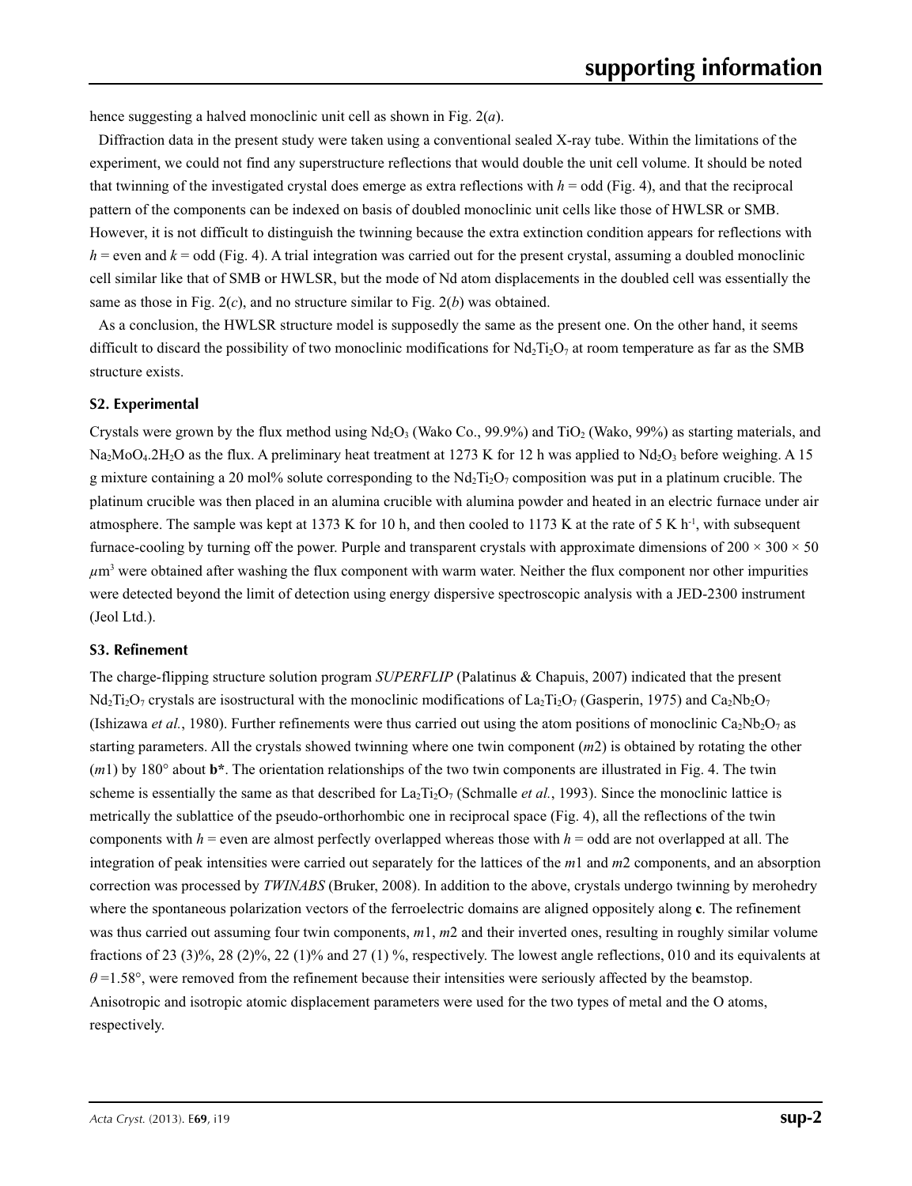hence suggesting a halved monoclinic unit cell as shown in Fig. 2(*a*).

Diffraction data in the present study were taken using a conventional sealed X-ray tube. Within the limitations of the experiment, we could not find any superstructure reflections that would double the unit cell volume. It should be noted that twinning of the investigated crystal does emerge as extra reflections with  $h =$  odd (Fig. 4), and that the reciprocal pattern of the components can be indexed on basis of doubled monoclinic unit cells like those of HWLSR or SMB. However, it is not difficult to distinguish the twinning because the extra extinction condition appears for reflections with  $h$  = even and  $k$  = odd (Fig. 4). A trial integration was carried out for the present crystal, assuming a doubled monoclinic cell similar like that of SMB or HWLSR, but the mode of Nd atom displacements in the doubled cell was essentially the same as those in Fig. 2(*c*), and no structure similar to Fig. 2(*b*) was obtained.

As a conclusion, the HWLSR structure model is supposedly the same as the present one. On the other hand, it seems difficult to discard the possibility of two monoclinic modifications for  $Nd_2Ti_2O_7$  at room temperature as far as the SMB structure exists.

#### **S2. Experimental**

Crystals were grown by the flux method using  $Nd_2O_3$  (Wako Co., 99.9%) and TiO<sub>2</sub> (Wako, 99%) as starting materials, and Na<sub>2</sub>MoO<sub>4</sub>.2H<sub>2</sub>O as the flux. A preliminary heat treatment at 1273 K for 12 h was applied to Nd<sub>2</sub>O<sub>3</sub> before weighing. A 15 g mixture containing a 20 mol% solute corresponding to the  $Nd_2Ti_2O_7$  composition was put in a platinum crucible. The platinum crucible was then placed in an alumina crucible with alumina powder and heated in an electric furnace under air atmosphere. The sample was kept at 1373 K for 10 h, and then cooled to 1173 K at the rate of 5 K h<sup>-1</sup>, with subsequent furnace-cooling by turning off the power. Purple and transparent crystals with approximate dimensions of  $200 \times 300 \times 50$ *µ*m3 were obtained after washing the flux component with warm water. Neither the flux component nor other impurities were detected beyond the limit of detection using energy dispersive spectroscopic analysis with a JED-2300 instrument (Jeol Ltd.).

#### **S3. Refinement**

The charge-flipping structure solution program *SUPERFLIP* (Palatinus & Chapuis, 2007) indicated that the present  $Nd_2Ti_2O_7$  crystals are isostructural with the monoclinic modifications of La<sub>2</sub>Ti<sub>2</sub>O<sub>7</sub> (Gasperin, 1975) and Ca<sub>2</sub>Nb<sub>2</sub>O<sub>7</sub> (Ishizawa *et al.*, 1980). Further refinements were thus carried out using the atom positions of monoclinic Ca<sub>2</sub>Nb<sub>2</sub>O<sub>7</sub> as starting parameters. All the crystals showed twinning where one twin component (*m*2) is obtained by rotating the other (*m*1) by 180° about **b\***. The orientation relationships of the two twin components are illustrated in Fig. 4. The twin scheme is essentially the same as that described for  $La_2Ti_2O_7$  (Schmalle *et al.*, 1993). Since the monoclinic lattice is metrically the sublattice of the pseudo-orthorhombic one in reciprocal space (Fig. 4), all the reflections of the twin components with  $h =$  even are almost perfectly overlapped whereas those with  $h =$  odd are not overlapped at all. The integration of peak intensities were carried out separately for the lattices of the *m*1 and *m*2 components, and an absorption correction was processed by *TWINABS* (Bruker, 2008). In addition to the above, crystals undergo twinning by merohedry where the spontaneous polarization vectors of the ferroelectric domains are aligned oppositely along **c**. The refinement was thus carried out assuming four twin components,  $m1$ ,  $m2$  and their inverted ones, resulting in roughly similar volume fractions of 23 (3)%, 28 (2)%, 22 (1)% and 27 (1) %, respectively. The lowest angle reflections, 010 and its equivalents at  $\theta$  =1.58°, were removed from the refinement because their intensities were seriously affected by the beamstop. Anisotropic and isotropic atomic displacement parameters were used for the two types of metal and the O atoms, respectively.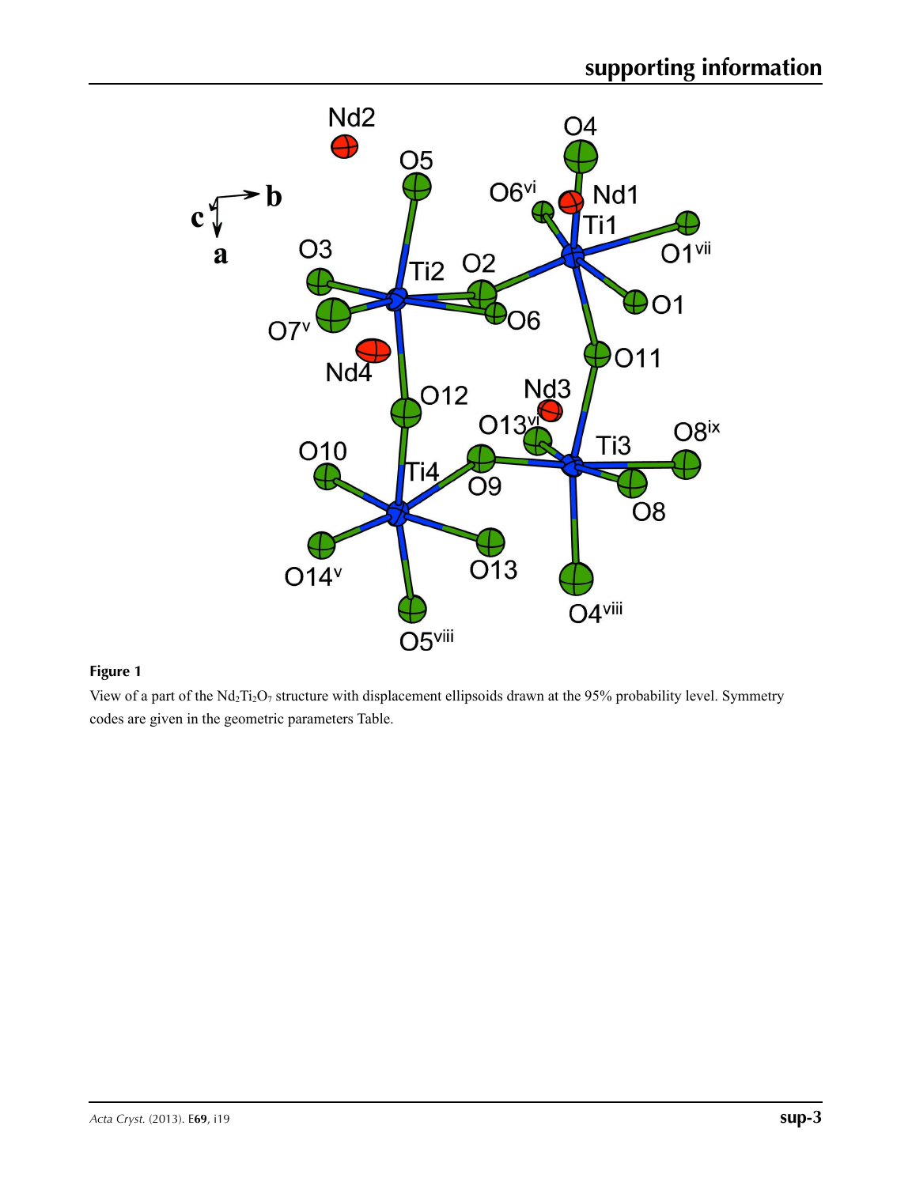

View of a part of the Nd<sub>2</sub>Ti<sub>2</sub>O<sub>7</sub> structure with displacement ellipsoids drawn at the 95% probability level. Symmetry codes are given in the geometric parameters Table.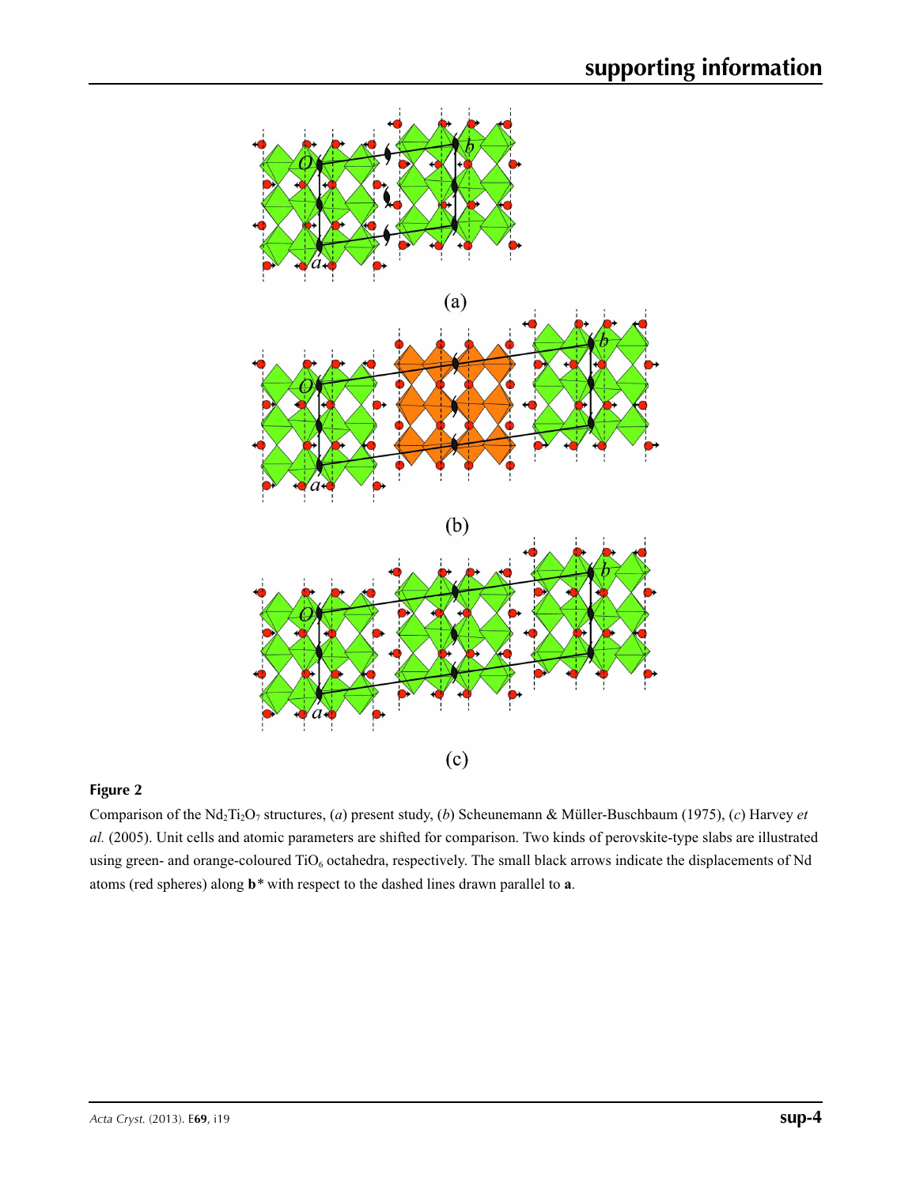

Comparison of the Nd<sub>2</sub>Ti<sub>2</sub>O<sub>7</sub> structures, (*a*) present study, (*b*) Scheunemann & Müller-Buschbaum (1975), (*c*) Harvey *et al.* (2005). Unit cells and atomic parameters are shifted for comparison. Two kinds of perovskite-type slabs are illustrated using green- and orange-coloured TiO<sub>6</sub> octahedra, respectively. The small black arrows indicate the displacements of Nd atoms (red spheres) along **b***\** with respect to the dashed lines drawn parallel to **a**.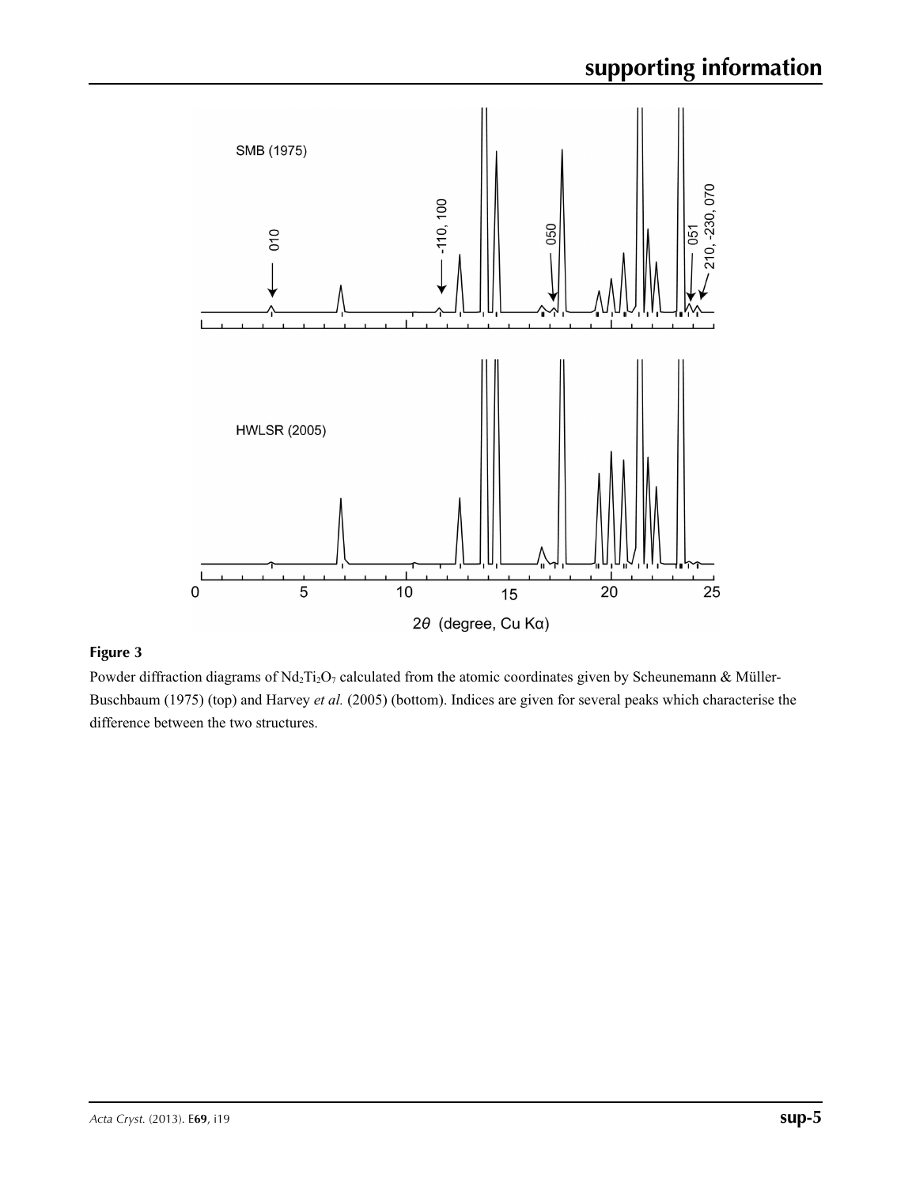

Powder diffraction diagrams of Nd<sub>2</sub>Ti<sub>2</sub>O<sub>7</sub> calculated from the atomic coordinates given by Scheunemann & Müller-Buschbaum (1975) (top) and Harvey *et al.* (2005) (bottom). Indices are given for several peaks which characterise the difference between the two structures.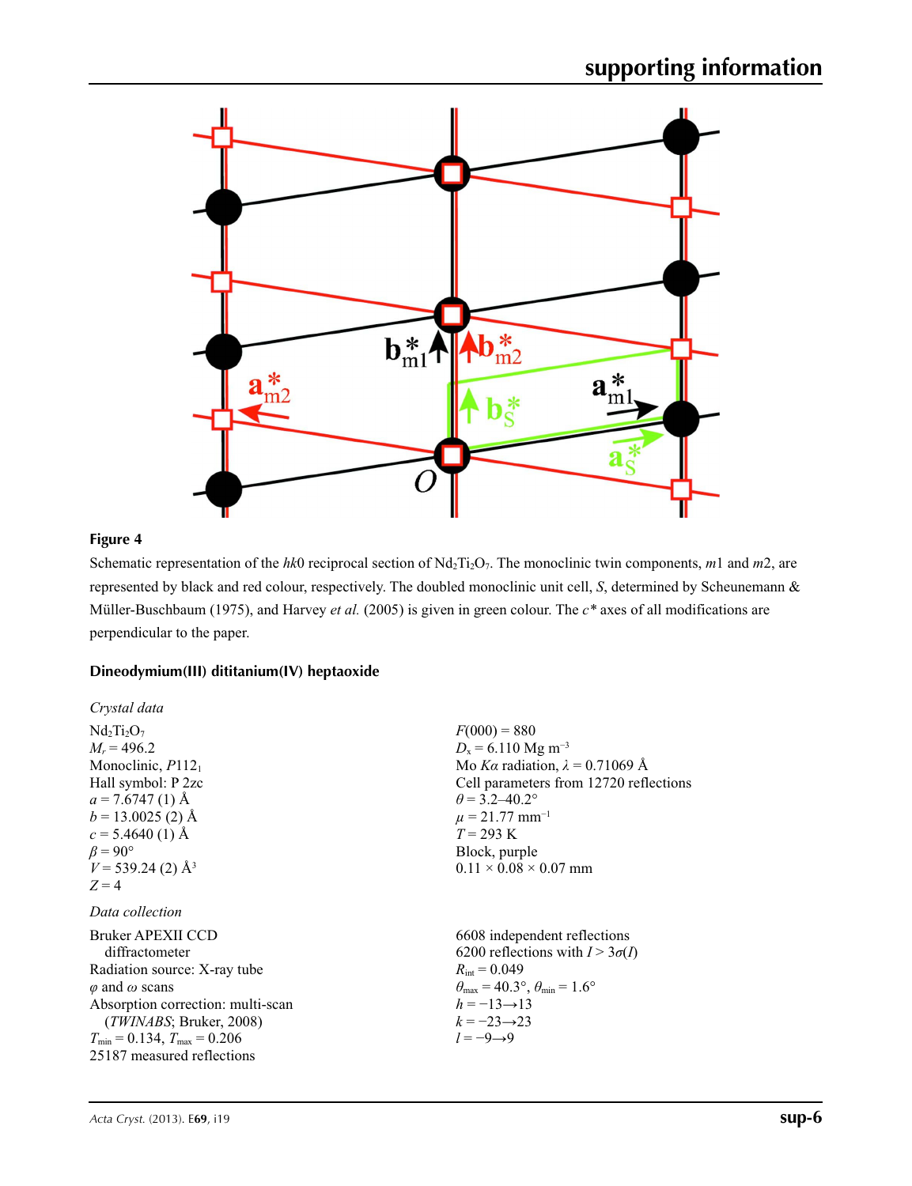

Schematic representation of the *hk*0 reciprocal section of Nd<sub>2</sub>T<sub>12</sub>O<sub>7</sub>. The monoclinic twin components, *m*1 and *m*2, are represented by black and red colour, respectively. The doubled monoclinic unit cell, *S*, determined by Scheunemann & Müller-Buschbaum (1975), and Harvey *et al.* (2005) is given in green colour. The *c\** axes of all modifications are perpendicular to the paper.

#### **Dineodymium(III) dititanium(IV) heptaoxide**

| Crystal data                                                                                                                                                                                                                                             |                                                                                                                                                                                                                                                                               |
|----------------------------------------------------------------------------------------------------------------------------------------------------------------------------------------------------------------------------------------------------------|-------------------------------------------------------------------------------------------------------------------------------------------------------------------------------------------------------------------------------------------------------------------------------|
| $Nd2Ti2O7$<br>$M_r = 496.2$<br>Monoclinic, P112 <sub>1</sub><br>Hall symbol: P 2zc<br>$a = 7.6747(1)$ Å<br>$b = 13.0025$ (2) Å<br>$c = 5.4640(1)$ Å<br>$\beta = 90^{\circ}$<br>$V = 539.24(2)$ Å <sup>3</sup><br>$Z=4$                                   | $F(000) = 880$<br>$D_x = 6.110$ Mg m <sup>-3</sup><br>Mo Ka radiation, $\lambda = 0.71069$ Å<br>Cell parameters from 12720 reflections<br>$\theta$ = 3.2–40.2°<br>$\mu = 21.77$ mm <sup>-1</sup><br>$T = 293 \text{ K}$<br>Block, purple<br>$0.11 \times 0.08 \times 0.07$ mm |
| Data collection                                                                                                                                                                                                                                          |                                                                                                                                                                                                                                                                               |
| Bruker APEXII CCD<br>diffractometer<br>Radiation source: X-ray tube<br>$\varphi$ and $\omega$ scans<br>Absorption correction: multi-scan<br>(TWINABS; Bruker, 2008)<br>$T_{\text{min}} = 0.134$ , $T_{\text{max}} = 0.206$<br>25187 measured reflections | 6608 independent reflections<br>6200 reflections with $I > 3\sigma(I)$<br>$R_{\text{int}} = 0.049$<br>$\theta_{\text{max}} = 40.3^{\circ}, \theta_{\text{min}} = 1.6^{\circ}$<br>$h = -13 \rightarrow 13$<br>$k = -23 \rightarrow 23$<br>$l = -9 \rightarrow 9$               |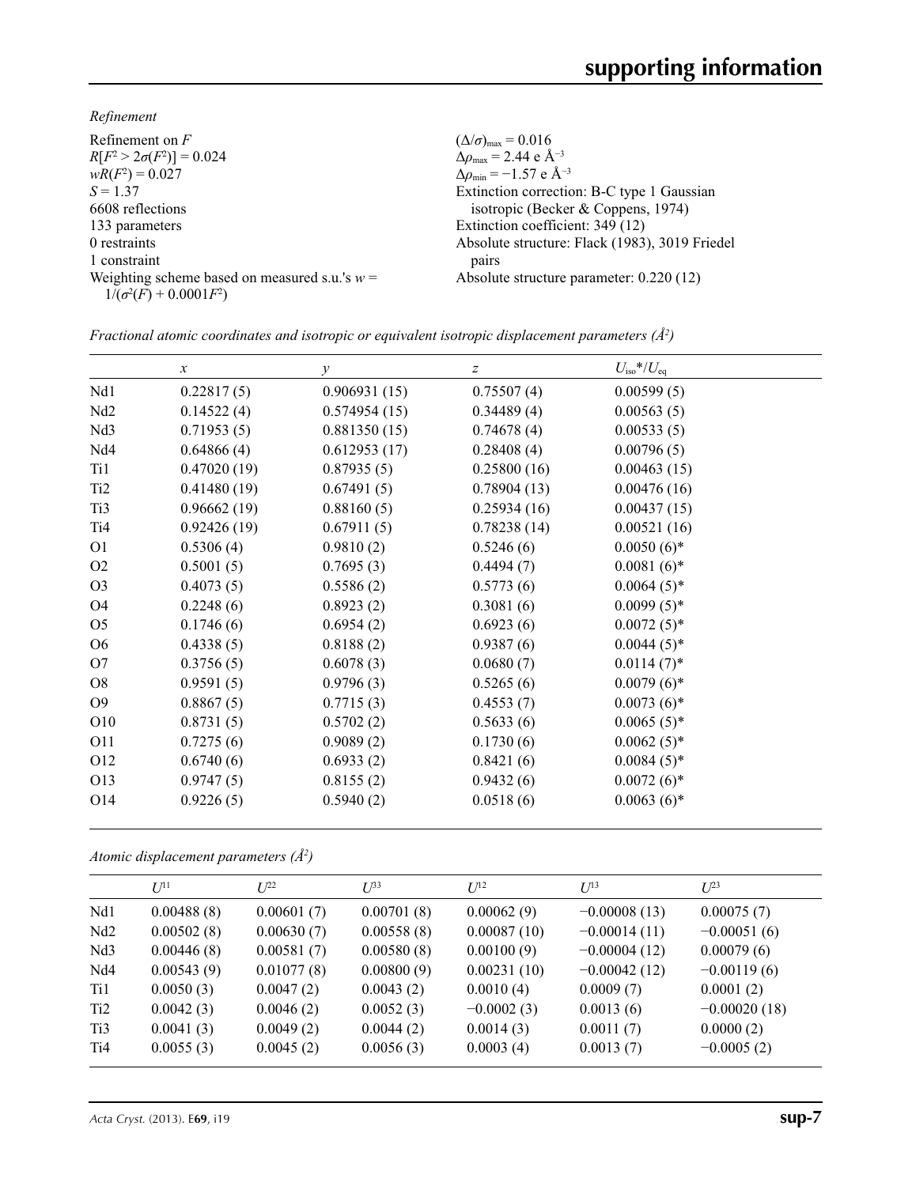*Refinement*

| Refinement on $F$                                                                | $(\Delta/\sigma)_{\text{max}} = 0.016$             |
|----------------------------------------------------------------------------------|----------------------------------------------------|
| $R[F^2 > 2\sigma(F^2)] = 0.024$                                                  | $\Delta\rho_{\text{max}}$ = 2.44 e Å <sup>-3</sup> |
| $wR(F^2) = 0.027$                                                                | $\Delta\rho_{\rm min} = -1.57$ e Å <sup>-3</sup>   |
| $S = 1.37$                                                                       | Extinction correction: B-C type 1 Gaussian         |
| 6608 reflections                                                                 | isotropic (Becker & Coppens, 1974)                 |
| 133 parameters                                                                   | Extinction coefficient: 349 (12)                   |
| 0 restraints                                                                     | Absolute structure: Flack (1983), 3019 Friedel     |
| 1 constraint                                                                     | pairs                                              |
| Weighting scheme based on measured s.u.'s $w =$<br>$1/(\sigma^2(F) + 0.0001F^2)$ | Absolute structure parameter: 0.220 (12)           |
|                                                                                  |                                                    |

*Fractional atomic coordinates and isotropic or equivalent isotropic displacement parameters (Å2 )*

|                  | $\boldsymbol{x}$ | $\mathcal{Y}$ | $\boldsymbol{Z}$ | $U_{\rm iso}$ */ $U_{\rm eq}$ |
|------------------|------------------|---------------|------------------|-------------------------------|
| Nd1              | 0.22817(5)       | 0.906931(15)  | 0.75507(4)       | 0.00599(5)                    |
| Nd <sub>2</sub>  | 0.14522(4)       | 0.574954(15)  | 0.34489(4)       | 0.00563(5)                    |
| Nd <sub>3</sub>  | 0.71953(5)       | 0.881350(15)  | 0.74678(4)       | 0.00533(5)                    |
| Nd <sub>4</sub>  | 0.64866(4)       | 0.612953(17)  | 0.28408(4)       | 0.00796(5)                    |
| Ti1              | 0.47020(19)      | 0.87935(5)    | 0.25800(16)      | 0.00463(15)                   |
| Ti <sub>2</sub>  | 0.41480(19)      | 0.67491(5)    | 0.78904(13)      | 0.00476(16)                   |
| Ti3              | 0.96662(19)      | 0.88160(5)    | 0.25934(16)      | 0.00437(15)                   |
| T <sub>i</sub> 4 | 0.92426(19)      | 0.67911(5)    | 0.78238(14)      | 0.00521(16)                   |
| O <sub>1</sub>   | 0.5306(4)        | 0.9810(2)     | 0.5246(6)        | $0.0050(6)$ *                 |
| O <sub>2</sub>   | 0.5001(5)        | 0.7695(3)     | 0.4494(7)        | $0.0081(6)$ *                 |
| O <sub>3</sub>   | 0.4073(5)        | 0.5586(2)     | 0.5773(6)        | $0.0064(5)$ *                 |
| O4               | 0.2248(6)        | 0.8923(2)     | 0.3081(6)        | $0.0099(5)$ *                 |
| O <sub>5</sub>   | 0.1746(6)        | 0.6954(2)     | 0.6923(6)        | $0.0072(5)$ *                 |
| O <sub>6</sub>   | 0.4338(5)        | 0.8188(2)     | 0.9387(6)        | $0.0044(5)$ *                 |
| O7               | 0.3756(5)        | 0.6078(3)     | 0.0680(7)        | $0.0114(7)$ *                 |
| <b>O8</b>        | 0.9591(5)        | 0.9796(3)     | 0.5265(6)        | $0.0079(6)*$                  |
| O <sub>9</sub>   | 0.8867(5)        | 0.7715(3)     | 0.4553(7)        | $0.0073(6)$ *                 |
| O10              | 0.8731(5)        | 0.5702(2)     | 0.5633(6)        | $0.0065(5)$ *                 |
| <b>O11</b>       | 0.7275(6)        | 0.9089(2)     | 0.1730(6)        | $0.0062(5)$ *                 |
| O <sub>12</sub>  | 0.6740(6)        | 0.6933(2)     | 0.8421(6)        | $0.0084(5)$ *                 |
| O13              | 0.9747(5)        | 0.8155(2)     | 0.9432(6)        | $0.0072(6)$ *                 |
| O14              | 0.9226(5)        | 0.5940(2)     | 0.0518(6)        | $0.0063(6)*$                  |

*Atomic displacement parameters (Å2 )*

|                  | $U^{11}$   | $L^{22}$   | $U^{33}$   | $U^{12}$     | $U^{13}$       | $U^{23}$       |
|------------------|------------|------------|------------|--------------|----------------|----------------|
| Nd1              | 0.00488(8) | 0.00601(7) | 0.00701(8) | 0.00062(9)   | $-0.00008(13)$ | 0.00075(7)     |
| Nd2              | 0.00502(8) | 0.00630(7) | 0.00558(8) | 0.00087(10)  | $-0.00014(11)$ | $-0.00051(6)$  |
| Nd3              | 0.00446(8) | 0.00581(7) | 0.00580(8) | 0.00100(9)   | $-0.00004(12)$ | 0.00079(6)     |
| N <sub>d</sub> 4 | 0.00543(9) | 0.01077(8) | 0.00800(9) | 0.00231(10)  | $-0.00042(12)$ | $-0.00119(6)$  |
| Ti1              | 0.0050(3)  | 0.0047(2)  | 0.0043(2)  | 0.0010(4)    | 0.0009(7)      | 0.0001(2)      |
| Ti <sub>2</sub>  | 0.0042(3)  | 0.0046(2)  | 0.0052(3)  | $-0.0002(3)$ | 0.0013(6)      | $-0.00020(18)$ |
| Ti <sub>3</sub>  | 0.0041(3)  | 0.0049(2)  | 0.0044(2)  | 0.0014(3)    | 0.0011(7)      | 0.0000(2)      |
| T <sub>i</sub> 4 | 0.0055(3)  | 0.0045(2)  | 0.0056(3)  | 0.0003(4)    | 0.0013(7)      | $-0.0005(2)$   |
|                  |            |            |            |              |                |                |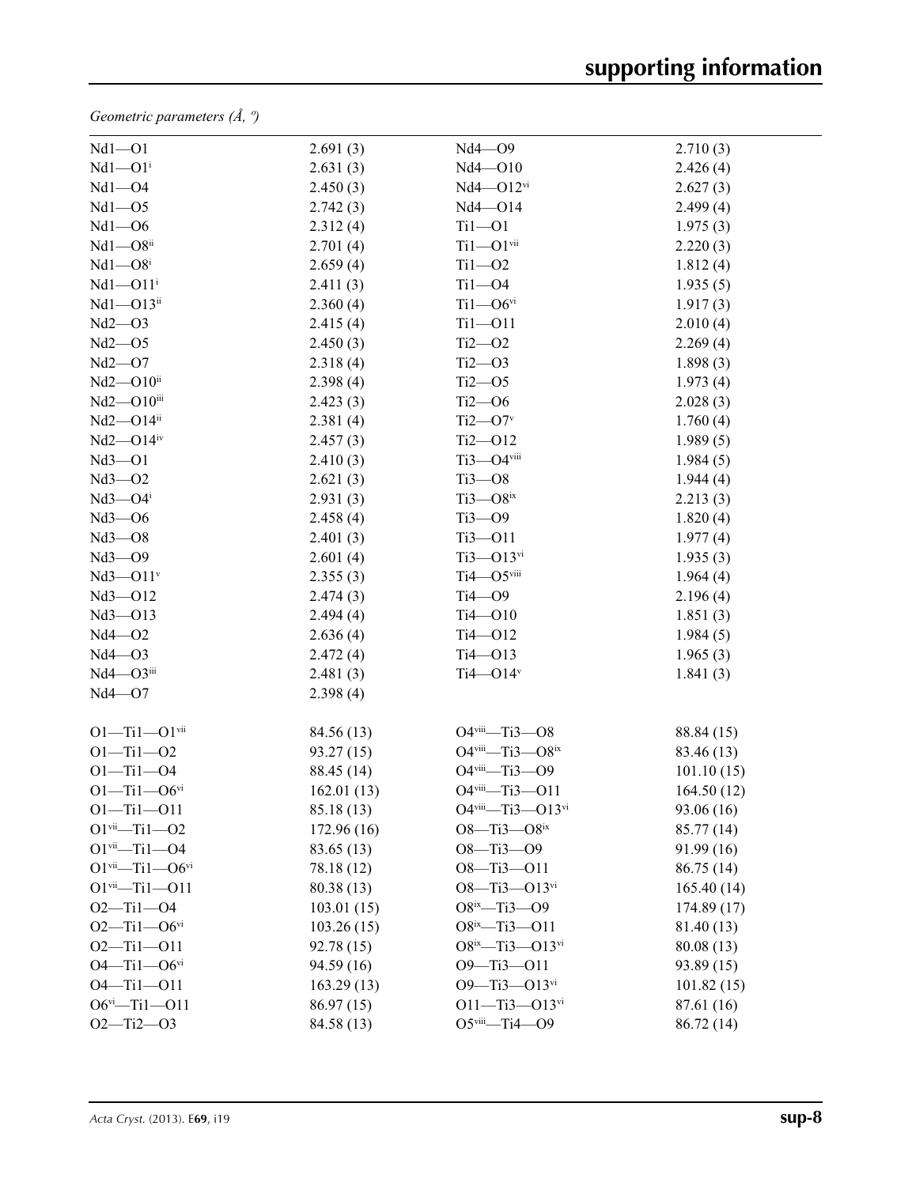*Geometric parameters (Å, º)*

| $Nd1 - O1$                                   | 2.691(3)    | Nd4-09                               | 2.710(3)   |
|----------------------------------------------|-------------|--------------------------------------|------------|
| $Nd1 - O1$ <sup>i</sup>                      | 2.631(3)    | $Nd4 - O10$                          | 2.426(4)   |
| $Nd1 - O4$                                   | 2.450(3)    | $Nd4 - O12$ <sup>vi</sup>            | 2.627(3)   |
| $Nd1 - O5$                                   | 2.742(3)    | Nd4-014                              | 2.499(4)   |
| $Nd1 - O6$                                   | 2.312(4)    | $Ti1 - O1$                           | 1.975(3)   |
| $Nd1 - O8ii$                                 | 2.701(4)    | $Ti1 - O1$ <sup>vii</sup>            | 2.220(3)   |
| $Nd1 - O8i$                                  | 2.659(4)    | $Ti1 - O2$                           | 1.812(4)   |
| $Nd1 - O11$ <sup>i</sup>                     | 2.411(3)    | $Ti1 - O4$                           | 1.935(5)   |
| $Nd1 - O13ii$                                | 2.360(4)    | $Ti1 - O6$ <sup>vi</sup>             | 1.917(3)   |
| Nd2—O3                                       | 2.415(4)    | $Ti1 - O11$                          | 2.010(4)   |
| Nd2—O5                                       | 2.450(3)    | $Ti2 - O2$                           | 2.269(4)   |
| Nd2—O7                                       | 2.318(4)    | $Ti2 - O3$                           | 1.898(3)   |
| $Nd2 - O10ii$                                | 2.398(4)    | $Ti2 - O5$                           | 1.973(4)   |
| Nd2-O10iii                                   | 2.423(3)    | $Ti2 - O6$                           | 2.028(3)   |
| Nd2-O14ii                                    | 2.381(4)    | $Ti2$ — $O7v$                        | 1.760(4)   |
| $Nd2$ — $O14$ <sup>iv</sup>                  | 2.457(3)    | $Ti2 - O12$                          | 1.989(5)   |
| $Nd3 - O1$                                   | 2.410(3)    | Ti3-O4viii                           | 1.984(5)   |
| $Nd3 - O2$                                   | 2.621(3)    | $Ti3 - O8$                           | 1.944(4)   |
| $Nd3 - O4$ <sup>i</sup>                      | 2.931(3)    | $Ti3 - O8$ ix                        | 2.213(3)   |
| $Nd3 - O6$                                   | 2.458(4)    | $Ti3 - O9$                           | 1.820(4)   |
| $Nd3 - O8$                                   | 2.401(3)    | $Ti3 - O11$                          | 1.977(4)   |
| $Nd3 - O9$                                   | 2.601(4)    | $Ti3 - O13$ <sup>vi</sup>            | 1.935(3)   |
| $Nd3 - O11v$                                 | 2.355(3)    | Ti4-O5viii                           | 1.964(4)   |
| Nd3-012                                      | 2.474(3)    | $Ti4$ - $O9$                         | 2.196(4)   |
| $Nd3 - O13$                                  | 2.494(4)    | $Ti4 - O10$                          | 1.851(3)   |
| $Nd4 - O2$                                   | 2.636(4)    | $Ti4 - O12$                          | 1.984(5)   |
| Nd4—O3                                       | 2.472(4)    | $Ti4 - O13$                          | 1.965(3)   |
| $Nd4 - O3$ <sup>iii</sup>                    | 2.481(3)    | Ti4 $-$ O14 $v$                      | 1.841(3)   |
| Nd4—O7                                       | 2.398(4)    |                                      |            |
| $O1 - Ti1 - O1$ <sup>vii</sup>               | 84.56 (13)  | O4viii-Ti3-O8                        | 88.84 (15) |
| $O1 - Ti1 - O2$                              | 93.27 (15)  | $O4$ <sup>viii</sup> -Ti3- $O8^{ix}$ | 83.46 (13) |
| $O1 - Ti1 - O4$                              | 88.45 (14)  | O4viii-Ti3-O9                        | 101.10(15) |
| $O1 - Ti1 - O6$ <sup>vi</sup>                | 162.01(13)  | O4viii-Ti3-O11                       | 164.50(12) |
| $O1 - Ti1 - O11$                             | 85.18 (13)  | O4viii-Ti3-O13vi                     | 93.06 (16) |
| $O1$ <sup>vii</sup> -Ti1- $O2$               | 172.96 (16) | $O8 - Ti3 - O8$ <sup>ix</sup>        | 85.77 (14) |
| $O1$ <sup>vii</sup> -Ti1- $O4$               | 83.65 (13)  | $O8 - Ti3 - O9$                      | 91.99 (16) |
| $O1$ <sup>vii</sup> -Ti1- $O6$ <sup>vi</sup> | 78.18 (12)  | $O8 - Ti3 - O11$                     | 86.75 (14) |
| $O1$ <sup>vii</sup> -Ti1- $O11$              | 80.38(13)   | $O8 - Ti3 - O13$ <sup>vi</sup>       | 165.40(14) |
| $O2 - Ti1 - O4$                              | 103.01(15)  | $O8^{ix}$ —Ti3—O9                    | 174.89(17) |
| $O2 - Ti1 - O6$ <sup>vi</sup>                | 103.26(15)  | $O8^{ix}$ -Ti3-011                   | 81.40 (13) |
| $O2 - Ti1 - O11$                             | 92.78 (15)  | $O8^{ix}$ -Ti3- $O13^{vi}$           | 80.08(13)  |
| $O4 - Ti1 - O6$ <sup>vi</sup>                | 94.59 (16)  | $O9 - Ti3 - O11$                     | 93.89 (15) |
| $O4 - Ti1 - O11$                             | 163.29(13)  | $O9 - Ti3 - O13$ <sup>vi</sup>       | 101.82(15) |
| $O6^{vi}$ -Ti1-011                           | 86.97 (15)  | $O11 - Ti3 - O13$ <sup>vi</sup>      | 87.61 (16) |
| $O2 - Ti2 - O3$                              | 84.58 (13)  | $O5$ <sup>viii</sup> -Ti4- $O9$      | 86.72 (14) |